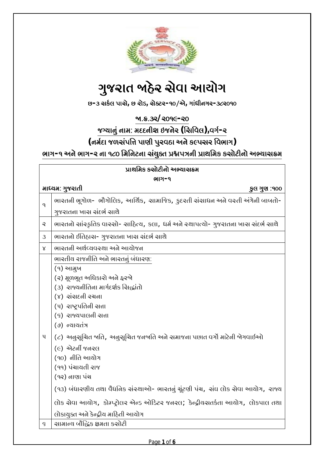

# **ગુજરાત ðહેર સેવા આયોગ**

**છ-૩ સકĨલ પાસે, છ રોડ, સેટર-૧૦/એ, ગાંધીનગર-૩૮૨૦૧૦**

**ð.·.૩૨/૨૦૧૯-૨૦**

**જયાનું નામ: મદદનીશ ઇજનેર (િસિવલ),વગĨ-૨**

**(નમĨદા જળસંપિĉ પાણી પુરવઠા અને ક«પસર િવભાગ)**

ભાગ-૧ અને ભાગ-૨ ના ૧૮૦ મિનિટના સંયુક્ત પ્રશ્નપત્રની પ્રાથમિક કસોટીનો અભ્યાસક્રમ

| પ્રાથમિક કસોટીનો અભ્યાસક્રમ |                                                                                                                                                                                                                                                                                                                                                              |  |  |  |
|-----------------------------|--------------------------------------------------------------------------------------------------------------------------------------------------------------------------------------------------------------------------------------------------------------------------------------------------------------------------------------------------------------|--|--|--|
| ભાગ-૧                       |                                                                                                                                                                                                                                                                                                                                                              |  |  |  |
|                             | માધ્ચમ: ગુજરાતી<br>કુલ ગુણ :૧૦૦                                                                                                                                                                                                                                                                                                                              |  |  |  |
| q                           | ભારતની ભૂગોળ- ભૌગોલિક, આર્થિક, સામાજિક, કુદરતી સંસાધન અને વસ્તી અંગેની બાબતો-<br>ગુજરાતના ખાસ સંદર્ભ સાથે                                                                                                                                                                                                                                                    |  |  |  |
| $\mathsf{Q}$                | ભારતનો સાંસ્કૃતિક વારસો- સાહિત્ય, કલા, ધર્મ અને સ્થાપત્યો- ગુજરાતના ખાસ સંદર્ભ સાથે                                                                                                                                                                                                                                                                          |  |  |  |
| 3                           | ભારતનો ઈતિહાસ- ગુજરાતના ખાસ સંદર્ભ સાથે                                                                                                                                                                                                                                                                                                                      |  |  |  |
| $\mathsf{X}$                | ભારતની અર્થવ્યવસ્થા અને આયોજન                                                                                                                                                                                                                                                                                                                                |  |  |  |
|                             | ભારતીય રાજનીતિ અને ભારતનું બંધારણ:<br>(૧) આમુખ<br>(૨) મૂળભૂત અધિકારો અને ફરજો<br>(3) રાજ્યનીતિના માર્ગદર્શક સિદ્ધાંતો<br>(૪) સંસદળી રચના<br>(५) राष्ट्रपतिली सत्ता<br>(९) રાજ્યપાલની સત્તા<br>(७) ન્યાયતંત્ર                                                                                                                                                 |  |  |  |
| $\mathbf{u}$                | (૮) અનુસૂચિત બતિ, અનુસૂચિત જનબતિ અને સમાજના પછાત વર્ગો માટેની બેગવાઈઓ<br>$(e)$ એટર્ની જનરલ<br>(90) નીતિ આયોગ<br>(૧૧) પંચાયતી રાજ<br>(૧૨) નાણા પંચ<br>(૧૩) બંધારણીય તથા વૈધજિક સંસ્થાઓ- ભારતનું ચૂંટણી પંચ, સંઘ લોક સેવા આયોગ, રાજ્ય<br>લોક સેવા આચોગ, કોમ્પ્ટ્રોલર એજ્ડ ઓડિટર જનરલ; કેન્દ્રીયસતર્કતા આચોગ, લોકપાલ તથા<br>લોકાયુક્ત અને કેન્દ્રીય માઠિતી આચોગ |  |  |  |
| $\varsigma$                 | ચામાન્ય બૌદ્ધિક ક્ષમતા કચોટી                                                                                                                                                                                                                                                                                                                                 |  |  |  |
|                             |                                                                                                                                                                                                                                                                                                                                                              |  |  |  |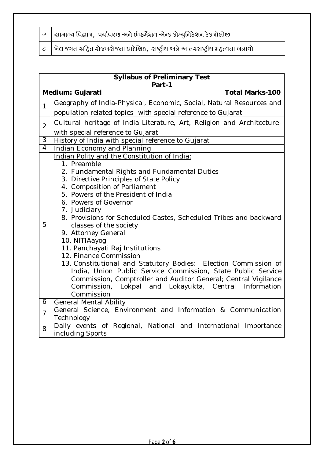|  |  | $\mid$ ଓ $\mid$ ચામાન્ય વિજ્ઞાન,  પર્યાવરણ અને ઈન્દ્ર્મેશન એન્ડ કોમ્યુનિકેશન ટેકનોલોજી |  |
|--|--|----------------------------------------------------------------------------------------|--|
|--|--|----------------------------------------------------------------------------------------|--|

 $\|c\|$  ખેલ જગત સ $\|b$ ત રોજબરોજના પ્રાદેશિક, રાષ્ટ્રીય અને આંતરરાષ્ટ્રીય મહ્ત્વના બનાવો

|                | <b>Syllabus of Preliminary Test</b><br>Part-1                                                 |  |  |  |  |
|----------------|-----------------------------------------------------------------------------------------------|--|--|--|--|
|                | Medium: Gujarati<br><b>Total Marks-100</b>                                                    |  |  |  |  |
| $\overline{1}$ | Geography of India-Physical, Economic, Social, Natural Resources and                          |  |  |  |  |
|                | population related topics- with special reference to Gujarat                                  |  |  |  |  |
| $\overline{2}$ | Cultural heritage of India-Literature, Art, Religion and Architecture-                        |  |  |  |  |
|                | with special reference to Gujarat                                                             |  |  |  |  |
| 3              | History of India with special reference to Gujarat                                            |  |  |  |  |
| $\overline{4}$ | Indian Economy and Planning                                                                   |  |  |  |  |
|                | Indian Polity and the Constitution of India:                                                  |  |  |  |  |
|                | 1. Preamble                                                                                   |  |  |  |  |
|                | 2. Fundamental Rights and Fundamental Duties                                                  |  |  |  |  |
|                | 3. Directive Principles of State Policy<br>4. Composition of Parliament                       |  |  |  |  |
|                | 5. Powers of the President of India                                                           |  |  |  |  |
| 5              | 6. Powers of Governor                                                                         |  |  |  |  |
|                | 7. Judiciary                                                                                  |  |  |  |  |
|                | 8. Provisions for Scheduled Castes, Scheduled Tribes and backward                             |  |  |  |  |
|                | classes of the society                                                                        |  |  |  |  |
|                | 9. Attorney General                                                                           |  |  |  |  |
|                | 10. NITIAayog                                                                                 |  |  |  |  |
|                | 11. Panchayati Raj Institutions                                                               |  |  |  |  |
|                | 12. Finance Commission                                                                        |  |  |  |  |
|                | 13. Constitutional and Statutory Bodies: Election Commission of                               |  |  |  |  |
|                | India, Union Public Service Commission, State Public Service                                  |  |  |  |  |
|                | Commission, Comptroller and Auditor General; Central Vigilance                                |  |  |  |  |
|                | Lokpal and Lokayukta, Central Information<br>Commission,                                      |  |  |  |  |
|                | Commission                                                                                    |  |  |  |  |
| 6              | <b>General Mental Ability</b><br>General Science, Environment and Information & Communication |  |  |  |  |
| $\overline{7}$ | Technology                                                                                    |  |  |  |  |
| 8              | Daily events of Regional, National and International Importance                               |  |  |  |  |
|                | including Sports                                                                              |  |  |  |  |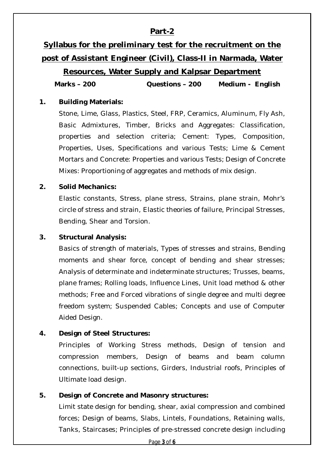# **Part-2**

# **Syllabus for the preliminary test for the recruitment on the post of Assistant Engineer (Civil), Class-II in Narmada, Water**

# **Resources, Water Supply and Kalpsar Department**

**Marks – 200 Questions – 200 Medium - English**

#### **1. Building Materials:**

Stone, Lime, Glass, Plastics, Steel, FRP, Ceramics, Aluminum, Fly Ash, Basic Admixtures, Timber, Bricks and Aggregates: Classification, properties and selection criteria; Cement: Types, Composition, Properties, Uses, Specifications and various Tests; Lime & Cement Mortars and Concrete: Properties and various Tests; Design of Concrete Mixes: Proportioning of aggregates and methods of mix design.

#### **2. Solid Mechanics:**

Elastic constants, Stress, plane stress, Strains, plane strain, Mohr's circle of stress and strain, Elastic theories of failure, Principal Stresses, Bending, Shear and Torsion.

#### **3. Structural Analysis:**

Basics of strength of materials, Types of stresses and strains, Bending moments and shear force, concept of bending and shear stresses; Analysis of determinate and indeterminate structures; Trusses, beams, plane frames; Rolling loads, Influence Lines, Unit load method & other methods; Free and Forced vibrations of single degree and multi degree freedom system; Suspended Cables; Concepts and use of Computer Aided Design.

#### **4. Design of Steel Structures:**

Principles of Working Stress methods, Design of tension and compression members, Design of beams and beam column connections, built-up sections, Girders, Industrial roofs, Principles of Ultimate load design.

#### **5. Design of Concrete and Masonry structures:**

Limit state design for bending, shear, axial compression and combined forces; Design of beams, Slabs, Lintels, Foundations, Retaining walls, Tanks, Staircases; Principles of pre-stressed concrete design including

Page **3** of **6**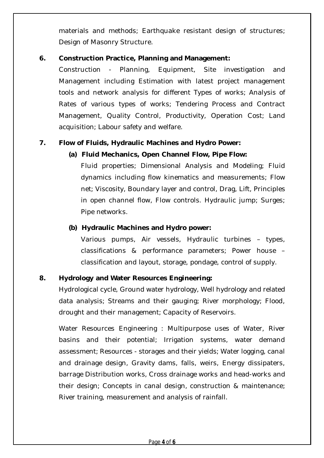materials and methods; Earthquake resistant design of structures; Design of Masonry Structure.

#### **6. Construction Practice, Planning and Management:**

Construction - Planning, Equipment, Site investigation and Management including Estimation with latest project management tools and network analysis for different Types of works; Analysis of Rates of various types of works; Tendering Process and Contract Management, Quality Control, Productivity, Operation Cost; Land acquisition; Labour safety and welfare.

### **7. Flow of Fluids, Hydraulic Machines and Hydro Power:**

#### **(a) Fluid Mechanics, Open Channel Flow, Pipe Flow:**

Fluid properties; Dimensional Analysis and Modeling; Fluid dynamics including flow kinematics and measurements; Flow net; Viscosity, Boundary layer and control, Drag, Lift, Principles in open channel flow, Flow controls. Hydraulic jump; Surges; Pipe networks.

#### **(b) Hydraulic Machines and Hydro power:**

Various pumps, Air vessels, Hydraulic turbines – types, classifications & performance parameters; Power house – classification and layout, storage, pondage, control of supply.

#### **8. Hydrology and Water Resources Engineering:**

Hydrological cycle, Ground water hydrology, Well hydrology and related data analysis; Streams and their gauging; River morphology; Flood, drought and their management; Capacity of Reservoirs.

Water Resources Engineering : Multipurpose uses of Water, River basins and their potential; Irrigation systems, water demand assessment; Resources - storages and their yields; Water logging, canal and drainage design, Gravity dams, falls, weirs, Energy dissipaters, barrage Distribution works, Cross drainage works and head-works and their design; Concepts in canal design, construction & maintenance; River training, measurement and analysis of rainfall.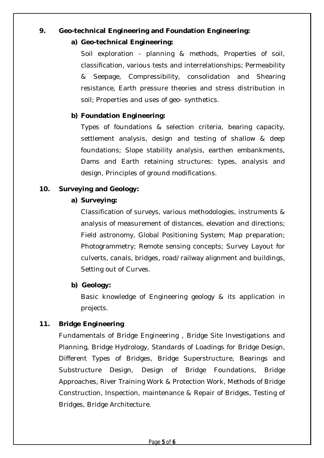## **9. Geo-technical Engineering and Foundation Engineering:**

#### **a) Geo-technical Engineering:**

Soil exploration - planning & methods, Properties of soil, classification, various tests and interrelationships; Permeability & Seepage, Compressibility, consolidation and Shearing resistance, Earth pressure theories and stress distribution in soil; Properties and uses of geo- synthetics.

## **b) Foundation Engineering:**

Types of foundations & selection criteria, bearing capacity, settlement analysis, design and testing of shallow & deep foundations; Slope stability analysis, earthen embankments, Dams and Earth retaining structures: types, analysis and design, Principles of ground modifications.

### **10. Surveying and Geology:**

#### **a) Surveying:**

Classification of surveys, various methodologies, instruments & analysis of measurement of distances, elevation and directions; Field astronomy, Global Positioning System; Map preparation; Photogrammetry; Remote sensing concepts; Survey Layout for culverts, canals, bridges, road/railway alignment and buildings, Setting out of Curves.

#### **b) Geology:**

Basic knowledge of Engineering geology & its application in projects.

# **11. Bridge Engineering**

Fundamentals of Bridge Engineering , Bridge Site Investigations and Planning, Bridge Hydrology, Standards of Loadings for Bridge Design, Different Types of Bridges, Bridge Superstructure, Bearings and Substructure Design, Design of Bridge Foundations, Bridge Approaches, River Training Work & Protection Work, Methods of Bridge Construction, Inspection, maintenance & Repair of Bridges, Testing of Bridges, Bridge Architecture.